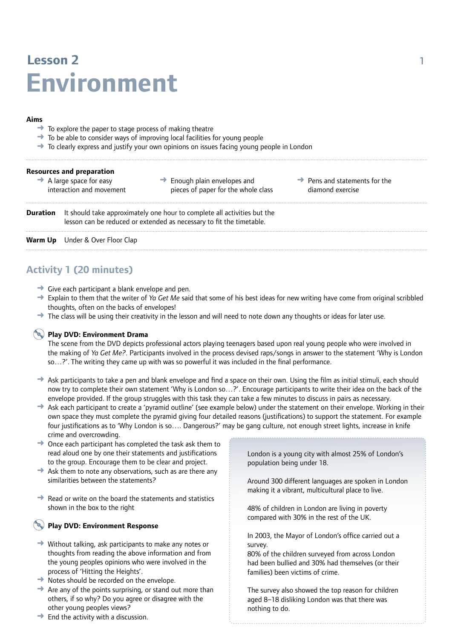# **Lesson 2** 1 **Environment**

#### **Aims**

- $\rightarrow$  To explore the paper to stage process of making theatre
- $\rightarrow$  To be able to consider ways of improving local facilities for young people
- $\rightarrow$  To clearly express and justify your own opinions on issues facing young people in London

| <b>Resources and preparation</b><br>$\rightarrow$ A large space for easy<br>interaction and movement |                                                                                                                                                  | $\rightarrow$ Enough plain envelopes and<br>pieces of paper for the whole class | $\rightarrow$ Pens and statements for the<br>diamond exercise |
|------------------------------------------------------------------------------------------------------|--------------------------------------------------------------------------------------------------------------------------------------------------|---------------------------------------------------------------------------------|---------------------------------------------------------------|
| Duration                                                                                             | It should take approximately one hour to complete all activities but the<br>lesson can be reduced or extended as necessary to fit the timetable. |                                                                                 |                                                               |
| Warm Up                                                                                              | Under & Over Floor Clap                                                                                                                          |                                                                                 |                                                               |

# **Activity 1 (20 minutes)**

- $\rightarrow$  Give each participant a blank envelope and pen.
- ➜ Explain to them that the writer of *Ya Get Me* said that some of his best ideas for new writing have come from original scribbled thoughts, often on the backs of envelopes!
- → The class will be using their creativity in the lesson and will need to note down any thoughts or ideas for later use.

## **Play DVD: Environment Drama**

The scene from the DVD depicts professional actors playing teenagers based upon real young people who were involved in the making of *Ya Get Me?*. Participants involved in the process devised raps/songs in answer to the statement 'Why is London so…?'. The writing they came up with was so powerful it was included in the final performance.

- → Ask participants to take a pen and blank envelope and find a space on their own. Using the film as initial stimuli, each should now try to complete their own statement 'Why is London so…?'. Encourage participants to write their idea on the back of the envelope provided. If the group struggles with this task they can take a few minutes to discuss in pairs as necessary.
- ➜ Ask each participant to create a 'pyramid outline' (see example below) under the statement on their envelope. Working in their own space they must complete the pyramid giving four detailed reasons (justifications) to support the statement. For example four justifications as to 'Why London is so…. Dangerous?' may be gang culture, not enough street lights, increase in knife crime and overcrowding.
- $\rightarrow$  Once each participant has completed the task ask them to read aloud one by one their statements and justifications to the group. Encourage them to be clear and project.
- $\rightarrow$  Ask them to note any observations, such as are there any similarities between the statements?
- $\rightarrow$  Read or write on the board the statements and statistics shown in the box to the right

## **Play DVD: Environment Response**

- $\rightarrow$  Without talking, ask participants to make any notes or thoughts from reading the above information and from the young peoples opinions who were involved in the process of 'Hitting the Heights'.
- **→** Notes should be recorded on the envelope.
- $\rightarrow$  Are any of the points surprising, or stand out more than others, if so why? Do you agree or disagree with the other young peoples views?
- $\rightarrow$  End the activity with a discussion.

London is a young city with almost 25% of London's population being under 18.

Around 300 different languages are spoken in London making it a vibrant, multicultural place to live.

48% of children in London are living in poverty compared with 30% in the rest of the UK.

In 2003, the Mayor of London's office carried out a survey.

80% of the children surveyed from across London had been bullied and 30% had themselves (or their families) been victims of crime.

The survey also showed the top reason for children aged 8–18 disliking London was that there was nothing to do.